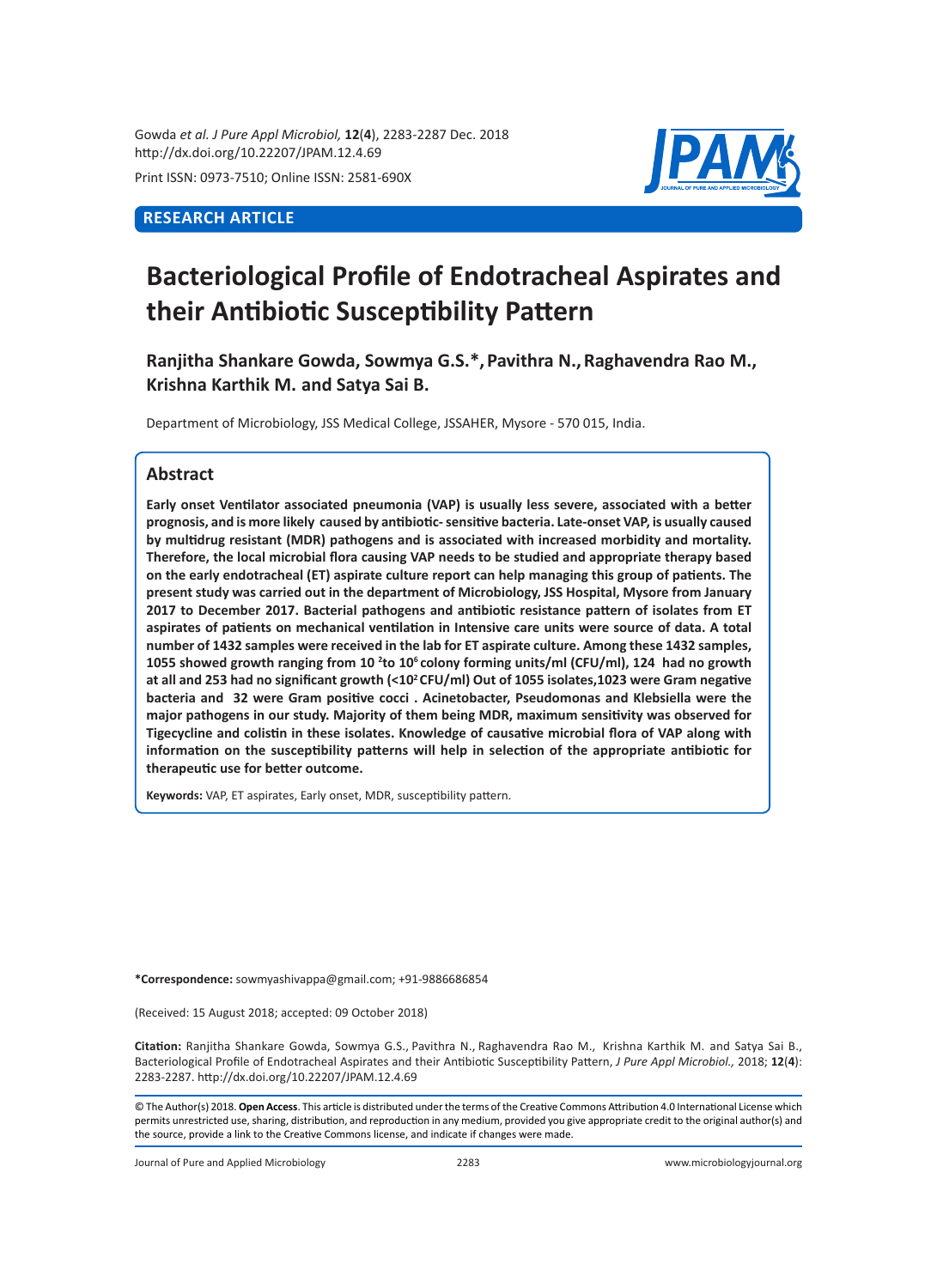Gowda *et al. J Pure Appl Microbiol,* **12**(**4**), 2283-2287 Dec. 2018 http://dx.doi.org/10.22207/JPAM.12.4.69

Print ISSN: 0973-7510; Online ISSN: 2581-690X

# **RESEARCH ARTICLE**



# **Bacteriological Profile of Endotracheal Aspirates and their Antibiotic Susceptibility Pattern**

**Ranjitha Shankare Gowda, Sowmya G.S.\*,Pavithra N.,Raghavendra Rao M., Krishna Karthik M. and Satya Sai B.** 

Department of Microbiology, JSS Medical College, JSSAHER, Mysore - 570 015, India.

# **Abstract**

**Early onset Ventilator associated pneumonia (VAP) is usually less severe, associated with a better prognosis, and is more likely caused by antibiotic- sensitive bacteria. Late-onset VAP, is usually caused by multidrug resistant (MDR) pathogens and is associated with increased morbidity and mortality. Therefore, the local microbial flora causing VAP needs to be studied and appropriate therapy based on the early endotracheal (ET) aspirate culture report can help managing this group of patients. The present study was carried out in the department of Microbiology, JSS Hospital, Mysore from January 2017 to December 2017. Bacterial pathogens and antibiotic resistance pattern of isolates from ET aspirates of patients on mechanical ventilation in Intensive care units were source of data. A total number of 1432 samples were received in the lab for ET aspirate culture. Among these 1432 samples, 1055 showed growth ranging from 10 <sup>2</sup> to 106 colony forming units/ml (CFU/ml), 124 had no growth at all and 253 had no significant growth (<10<sup>2</sup>CFU/ml) Out of 1055 isolates,1023 were Gram negative bacteria and 32 were Gram positive cocci . Acinetobacter, Pseudomonas and Klebsiella were the major pathogens in our study. Majority of them being MDR, maximum sensitivity was observed for Tigecycline and colistin in these isolates. Knowledge of causative microbial flora of VAP along with information on the susceptibility patterns will help in selection of the appropriate antibiotic for therapeutic use for better outcome.**

**Keywords:** VAP, ET aspirates, Early onset, MDR, susceptibility pattern.

**\*Correspondence:** sowmyashivappa@gmail.com; +91-9886686854

(Received: 15 August 2018; accepted: 09 October 2018)

**Citation:** Ranjitha Shankare Gowda, Sowmya G.S., Pavithra N., Raghavendra Rao M., Krishna Karthik M. and Satya Sai B., Bacteriological Profile of Endotracheal Aspirates and their Antibiotic Susceptibility Pattern, *J Pure Appl Microbiol.,* 2018; **12**(**4**): 2283-2287. http://dx.doi.org/10.22207/JPAM.12.4.69

© The Author(s) 2018. **Open Access**. This article is distributed under the terms of the Creative Commons Attribution 4.0 International License which permits unrestricted use, sharing, distribution, and reproduction in any medium, provided you give appropriate credit to the original author(s) and the source, provide a link to the Creative Commons license, and indicate if changes were made.

Journal of Pure and Applied Microbiology 2283 www.microbiologyjournal.org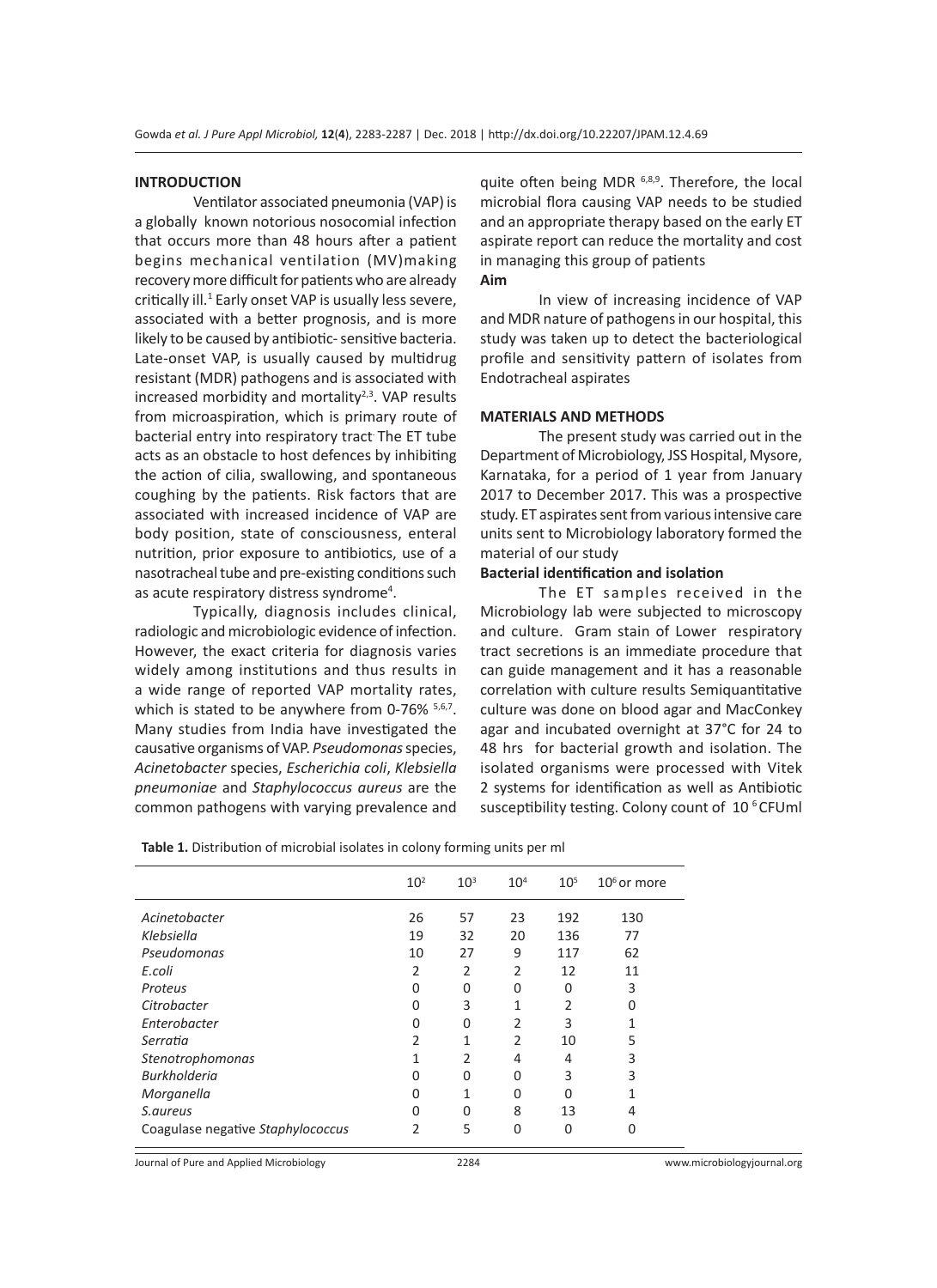#### **INTRODUCTION**

Ventilator associated pneumonia (VAP) is a globally known notorious nosocomial infection that occurs more than 48 hours after a patient begins mechanical ventilation (MV)making recovery more difficult for patients who are already critically ill.<sup>1</sup> Early onset VAP is usually less severe, associated with a better prognosis, and is more likely to be caused by antibiotic- sensitive bacteria. Late-onset VAP, is usually caused by multidrug resistant (MDR) pathogens and is associated with increased morbidity and mortality $2,3$ . VAP results from microaspiration, which is primary route of bacterial entry into respiratory tract. The ET tube acts as an obstacle to host defences by inhibiting the action of cilia, swallowing, and spontaneous coughing by the patients. Risk factors that are associated with increased incidence of VAP are body position, state of consciousness, enteral nutrition, prior exposure to antibiotics, use of a nasotracheal tube and pre-existing conditions such as acute respiratory distress syndrome<sup>4</sup>.

Typically, diagnosis includes clinical, radiologic and microbiologic evidence of infection. However, the exact criteria for diagnosis varies widely among institutions and thus results in a wide range of reported VAP mortality rates, which is stated to be anywhere from 0-76% 5,6,7. Many studies from India have investigated the causative organisms of VAP. *Pseudomonas* species, *Acinetobacter* species, *Escherichia coli*, *Klebsiella pneumoniae* and *Staphylococcus aureus* are the common pathogens with varying prevalence and quite often being MDR  $6,8,9$ . Therefore, the local microbial flora causing VAP needs to be studied and an appropriate therapy based on the early ET aspirate report can reduce the mortality and cost in managing this group of patients **Aim**

In view of increasing incidence of VAP and MDR nature of pathogens in our hospital, this study was taken up to detect the bacteriological profile and sensitivity pattern of isolates from Endotracheal aspirates

#### **MATERIALS AND METHODS**

The present study was carried out in the Department of Microbiology, JSS Hospital, Mysore, Karnataka, for a period of 1 year from January 2017 to December 2017. This was a prospective study. ET aspirates sent from various intensive care units sent to Microbiology laboratory formed the material of our study

## **Bacterial identification and isolation**

The ET samples received in the Microbiology lab were subjected to microscopy and culture. Gram stain of Lower respiratory tract secretions is an immediate procedure that can guide management and it has a reasonable correlation with culture results Semiquantitative culture was done on blood agar and MacConkey agar and incubated overnight at 37°C for 24 to 48 hrs for bacterial growth and isolation. The isolated organisms were processed with Vitek 2 systems for identification as well as Antibiotic susceptibility testing. Colony count of 10<sup>6</sup> CFUml

| Table 1. Distribution of microbial isolates in colony forming units per ml |  |  |  |  |  |  |  |
|----------------------------------------------------------------------------|--|--|--|--|--|--|--|
|----------------------------------------------------------------------------|--|--|--|--|--|--|--|

|                                   | 10 <sup>2</sup> | $10^{3}$ | 10 <sup>4</sup> | $10^{5}$ | $106$ or more |
|-----------------------------------|-----------------|----------|-----------------|----------|---------------|
| Acinetobacter                     | 26              | 57       | 23              | 192      | 130           |
| Klebsiella                        | 19              | 32       | 20              | 136      | 77            |
| Pseudomonas                       | 10              | 27       | 9               | 117      | 62            |
| E.coli                            | 2               | 2        | 2               | 12       | 11            |
| Proteus                           | 0               | 0        | 0               | 0        | 3             |
| Citrobacter                       | U               | 3        | 1               | 2        |               |
| Enterobacter                      | U               | 0        | 2               | 3        |               |
| Serratia                          |                 | 1        | 2               | 10       | 5             |
| Stenotrophomonas                  |                 | 2        | 4               | 4        | 3             |
| <b>Burkholderia</b>               | ი               | 0        | O               | 3        | 3             |
| Morganella                        | O               | 1        | O               | 0        |               |
| S.aureus                          | O               | 0        | 8               | 13       | 4             |
| Coagulase negative Staphylococcus | 2               | 5        | $\mathbf{0}$    | 0        | 0             |

Journal of Pure and Applied Microbiology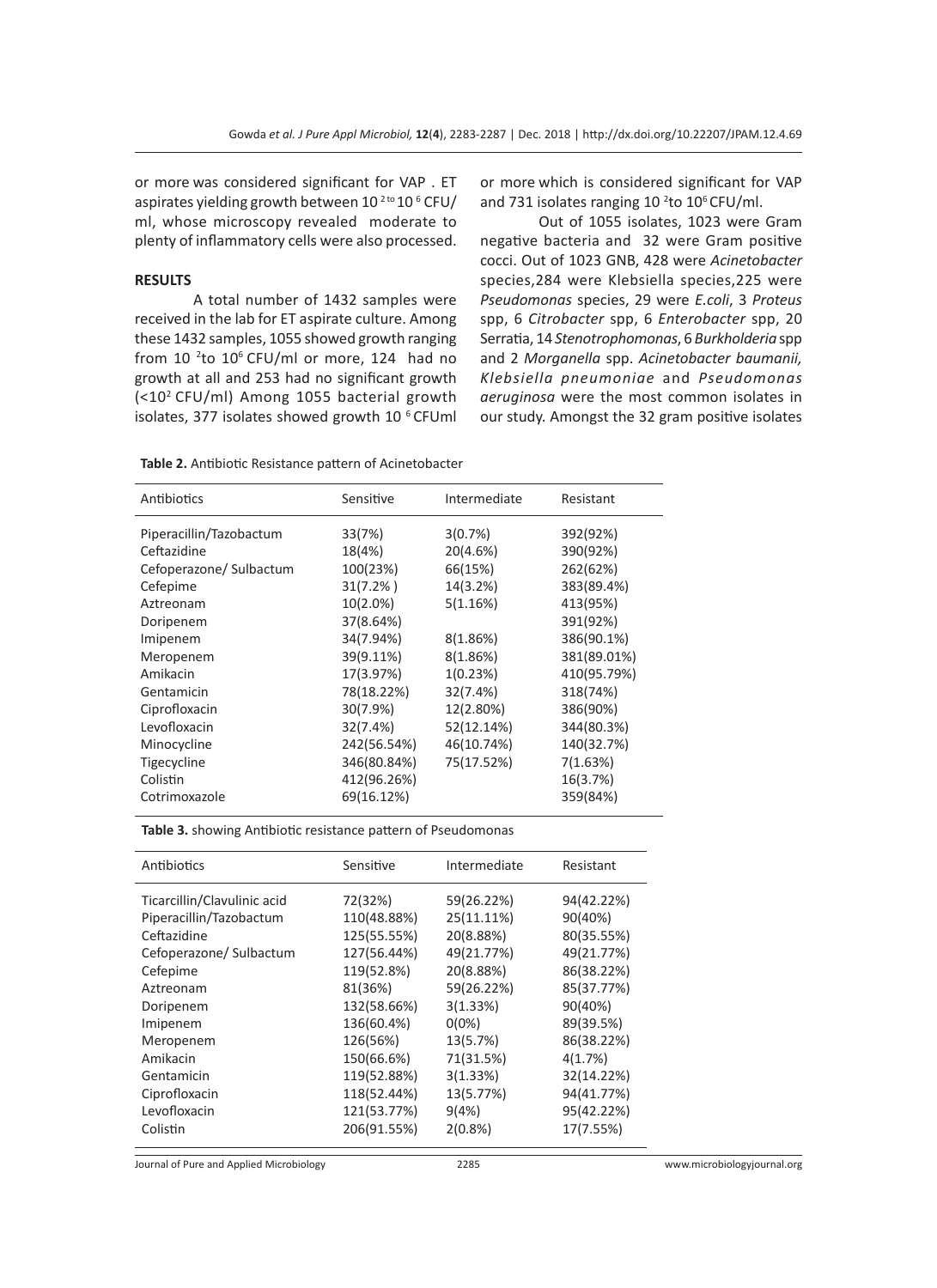or more was considered significant for VAP . ET aspirates yielding growth between  $10^{2 \text{ to }} 10^{6}$  CFU/ ml, whose microscopy revealed moderate to plenty of inflammatory cells were also processed.

#### **RESULTS**

A total number of 1432 samples were received in the lab for ET aspirate culture. Among these 1432 samples, 1055 showed growth ranging from  $10^{2}$ to  $10^{6}$  CFU/ml or more, 124 had no growth at all and 253 had no significant growth (<102 CFU/ml) Among 1055 bacterial growth isolates, 377 isolates showed growth 10<sup>6</sup> CFUml

or more which is considered significant for VAP and 731 isolates ranging  $10<sup>2</sup>$ to  $10<sup>6</sup>$ CFU/ml.

Out of 1055 isolates, 1023 were Gram negative bacteria and 32 were Gram positive cocci. Out of 1023 GNB, 428 were *Acinetobacter*  species,284 were Klebsiella species,225 were *Pseudomonas* species, 29 were *E.coli*, 3 *Proteus*  spp, 6 *Citrobacter* spp, 6 *Enterobacter* spp, 20 Serratia, 14 *Stenotrophomonas*, 6 *Burkholderia* spp and 2 *Morganella* spp. *Acinetobacter baumanii, Klebsiella pneumoniae* and *Pseudomonas aeruginosa* were the most common isolates in our study. Amongst the 32 gram positive isolates

**Table 2.** Antibiotic Resistance pattern of Acinetobacter

| Antibiotics             | Sensitive   | Intermediate | Resistant   |
|-------------------------|-------------|--------------|-------------|
| Piperacillin/Tazobactum | 33(7%)      | 3(0.7%)      | 392(92%)    |
| Ceftazidine             | 18(4%)      | 20(4.6%)     | 390(92%)    |
| Cefoperazone/ Sulbactum | 100(23%)    | 66(15%)      | 262(62%)    |
| Cefepime                | $31(7.2\%)$ | 14(3.2%)     | 383(89.4%)  |
| Aztreonam               | $10(2.0\%)$ | 5(1.16%)     | 413(95%)    |
| Doripenem               | 37(8.64%)   |              | 391(92%)    |
| Imipenem                | 34(7.94%)   | 8(1.86%)     | 386(90.1%)  |
| Meropenem               | 39(9.11%)   | 8(1.86%)     | 381(89.01%) |
| Amikacin                | 17(3.97%)   | 1(0.23%)     | 410(95.79%) |
| Gentamicin              | 78(18.22%)  | 32(7.4%)     | 318(74%)    |
| Ciprofloxacin           | 30(7.9%)    | 12(2.80%)    | 386(90%)    |
| Levofloxacin            | 32(7.4%)    | 52(12.14%)   | 344(80.3%)  |
| Minocycline             | 242(56.54%) | 46(10.74%)   | 140(32.7%)  |
| Tigecycline             | 346(80.84%) | 75(17.52%)   | 7(1.63%)    |
| Colistin                | 412(96.26%) |              | 16(3.7%)    |
| Cotrimoxazole           | 69(16.12%)  |              | 359(84%)    |

**Table 3.** showing Antibiotic resistance pattern of Pseudomonas

| Antibiotics                 | Sensitive   | Intermediate | Resistant  |
|-----------------------------|-------------|--------------|------------|
| Ticarcillin/Clavulinic acid | 72(32%)     | 59(26.22%)   | 94(42.22%) |
| Piperacillin/Tazobactum     | 110(48.88%) | 25(11.11%)   | 90(40%)    |
| Ceftazidine                 | 125(55.55%) | 20(8.88%)    | 80(35.55%) |
| Cefoperazone/ Sulbactum     | 127(56.44%) | 49(21.77%)   | 49(21.77%) |
| Cefepime                    | 119(52.8%)  | 20(8.88%)    | 86(38.22%) |
| Aztreonam                   | 81(36%)     | 59(26.22%)   | 85(37.77%) |
| Doripenem                   | 132(58.66%) | 3(1.33%)     | 90(40%)    |
| Imipenem                    | 136(60.4%)  | $0(0\%)$     | 89(39.5%)  |
| Meropenem                   | 126(56%)    | 13(5.7%)     | 86(38.22%) |
| Amikacin                    | 150(66.6%)  | 71(31.5%)    | 4(1.7%)    |
| Gentamicin                  | 119(52.88%) | 3(1.33%)     | 32(14.22%) |
| Ciprofloxacin               | 118(52.44%) | 13(5.77%)    | 94(41.77%) |
| Levofloxacin                | 121(53.77%) | 9(4%)        | 95(42.22%) |
| Colistin                    | 206(91.55%) | 2(0.8%)      | 17(7.55%)  |
|                             |             |              |            |

Journal of Pure and Applied Microbiology 2285 www.microbiologyjournal.org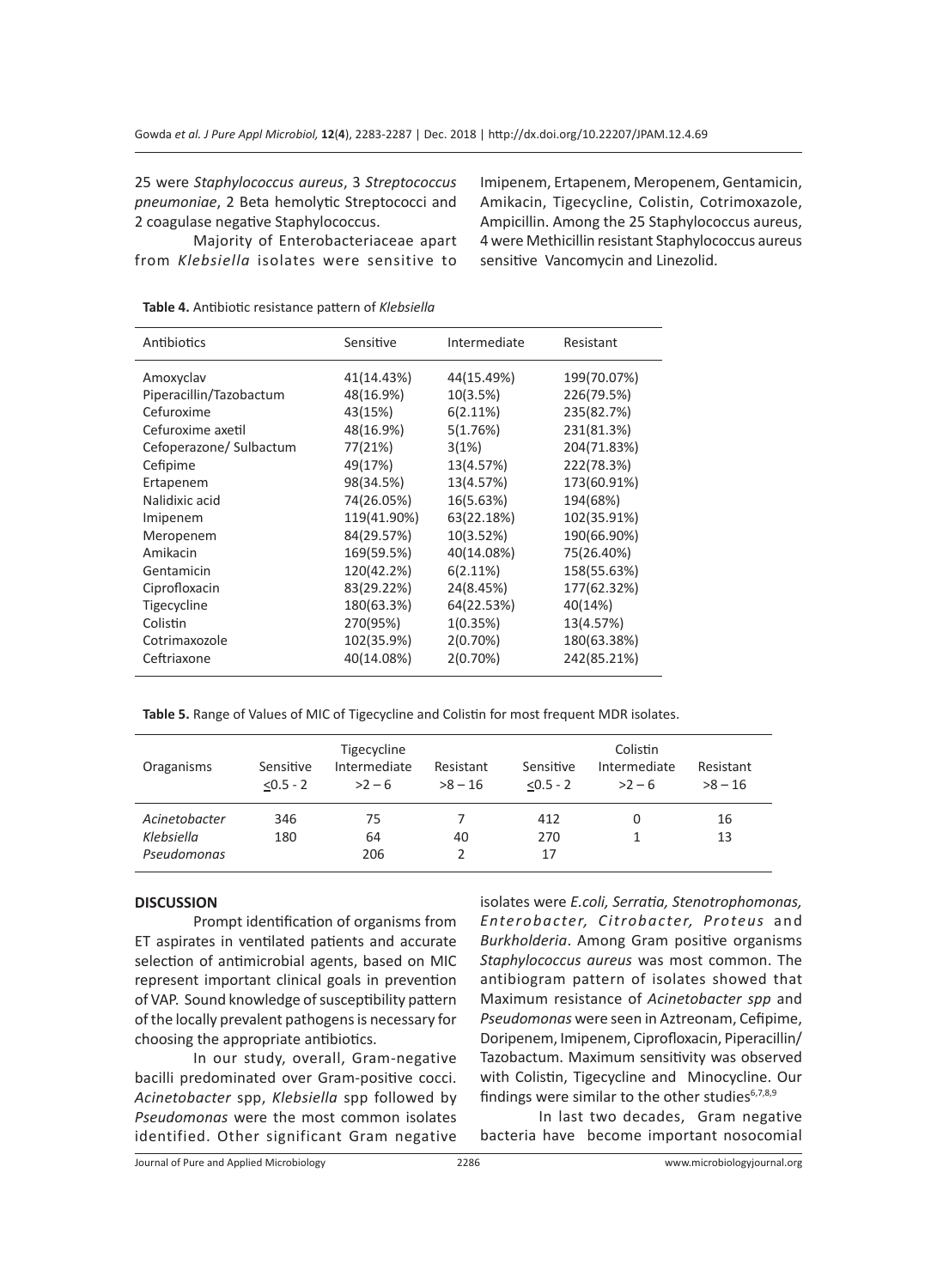25 were *Staphylococcus aureus*, 3 *Streptococcus pneumoniae*, 2 Beta hemolytic Streptococci and 2 coagulase negative Staphylococcus.

Majority of Enterobacteriaceae apart from *Klebsiella* isolates were sensitive to Imipenem, Ertapenem, Meropenem, Gentamicin, Amikacin, Tigecycline, Colistin, Cotrimoxazole, Ampicillin. Among the 25 Staphylococcus aureus, 4 were Methicillin resistant Staphylococcus aureus sensitive Vancomycin and Linezolid.

| Antibiotics             | Sensitive   | Intermediate | Resistant   |
|-------------------------|-------------|--------------|-------------|
| Amoxyclav               | 41(14.43%)  | 44(15.49%)   | 199(70.07%) |
| Piperacillin/Tazobactum | 48(16.9%)   | 10(3.5%)     | 226(79.5%)  |
| Cefuroxime              | 43(15%)     | $6(2.11\%)$  | 235(82.7%)  |
| Cefuroxime axetil       | 48(16.9%)   | 5(1.76%)     | 231(81.3%)  |
| Cefoperazone/ Sulbactum | 77(21%)     | 3(1%)        | 204(71.83%) |
| Cefipime                | 49(17%)     | 13(4.57%)    | 222(78.3%)  |
| Ertapenem               | 98(34.5%)   | 13(4.57%)    | 173(60.91%) |
| Nalidixic acid          | 74(26.05%)  | 16(5.63%)    | 194(68%)    |
| Imipenem                | 119(41.90%) | 63(22.18%)   | 102(35.91%) |
| Meropenem               | 84(29.57%)  | 10(3.52%)    | 190(66.90%) |
| Amikacin                | 169(59.5%)  | 40(14.08%)   | 75(26.40%)  |
| Gentamicin              | 120(42.2%)  | $6(2.11\%)$  | 158(55.63%) |
| Ciprofloxacin           | 83(29.22%)  | 24(8.45%)    | 177(62.32%) |
| Tigecycline             | 180(63.3%)  | 64(22.53%)   | 40(14%)     |
| Colistin                | 270(95%)    | 1(0.35%)     | 13(4.57%)   |
| Cotrimaxozole           | 102(35.9%)  | 2(0.70%)     | 180(63.38%) |
| Ceftriaxone             | 40(14.08%)  | 2(0.70%)     | 242(85.21%) |
|                         |             |              |             |

**Table 4.** Antibiotic resistance pattern of *Klebsiella*

**Table 5.** Range of Values of MIC of Tigecycline and Colistin for most frequent MDR isolates.

| Oraganisms                                 | Sensitive<br>$< 0.5 - 2$ | Tigecycline<br>Intermediate<br>$>2-6$ | Resistant<br>$>8 - 16$ | Sensitive<br>$< 0.5 - 2$ | Colistin<br>Intermediate<br>$>2-6$ | Resistant<br>$>8 - 16$ |
|--------------------------------------------|--------------------------|---------------------------------------|------------------------|--------------------------|------------------------------------|------------------------|
| Acinetobacter<br>Klebsiella<br>Pseudomonas | 346<br>180               | 75<br>64<br>206                       | 40                     | 412<br>270<br>17         |                                    | 16<br>13               |

### **DISCUSSION**

Prompt identification of organisms from ET aspirates in ventilated patients and accurate selection of antimicrobial agents, based on MIC represent important clinical goals in prevention of VAP. Sound knowledge of susceptibility pattern of the locally prevalent pathogens is necessary for choosing the appropriate antibiotics.

In our study, overall, Gram-negative bacilli predominated over Gram-positive cocci. *Acinetobacter* spp, *Klebsiella* spp followed by *Pseudomonas* were the most common isolates identified. Other significant Gram negative isolates were *E.coli, Serratia, Stenotrophomonas, Enterobacter, Citrobacter, Proteus* and *Burkholderia*. Among Gram positive organisms *Staphylococcus aureus* was most common. The antibiogram pattern of isolates showed that Maximum resistance of *Acinetobacter spp* and *Pseudomonas* were seen in Aztreonam, Cefipime, Doripenem, Imipenem, Ciprofloxacin, Piperacillin/ Tazobactum. Maximum sensitivity was observed with Colistin, Tigecycline and Minocycline. Our findings were similar to the other studies $6,7,8,9$ 

In last two decades, Gram negative bacteria have become important nosocomial